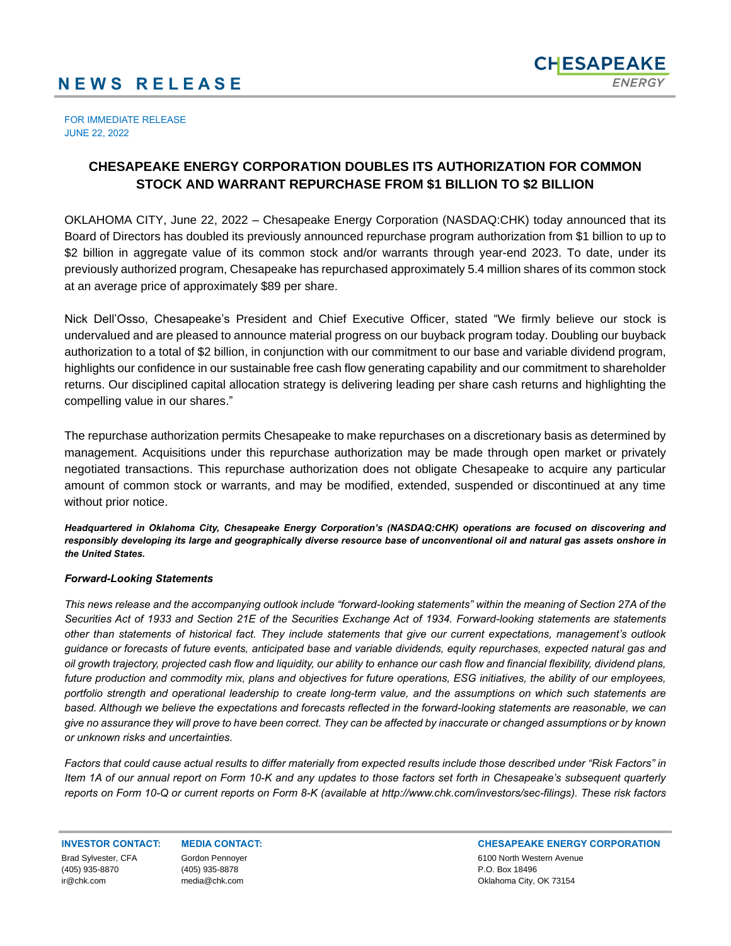## **N E W S R E L E A S E**



FOR IMMEDIATE RELEASE JUNE 22, 2022

## **CHESAPEAKE ENERGY CORPORATION DOUBLES ITS AUTHORIZATION FOR COMMON STOCK AND WARRANT REPURCHASE FROM \$1 BILLION TO \$2 BILLION**

OKLAHOMA CITY, June 22, 2022 – Chesapeake Energy Corporation (NASDAQ:CHK) today announced that its Board of Directors has doubled its previously announced repurchase program authorization from \$1 billion to up to \$2 billion in aggregate value of its common stock and/or warrants through year-end 2023. To date, under its previously authorized program, Chesapeake has repurchased approximately 5.4 million shares of its common stock at an average price of approximately \$89 per share.

Nick Dell'Osso, Chesapeake's President and Chief Executive Officer, stated "We firmly believe our stock is undervalued and are pleased to announce material progress on our buyback program today. Doubling our buyback authorization to a total of \$2 billion, in conjunction with our commitment to our base and variable dividend program, highlights our confidence in our sustainable free cash flow generating capability and our commitment to shareholder returns. Our disciplined capital allocation strategy is delivering leading per share cash returns and highlighting the compelling value in our shares."

The repurchase authorization permits Chesapeake to make repurchases on a discretionary basis as determined by management. Acquisitions under this repurchase authorization may be made through open market or privately negotiated transactions. This repurchase authorization does not obligate Chesapeake to acquire any particular amount of common stock or warrants, and may be modified, extended, suspended or discontinued at any time without prior notice.

*Headquartered in Oklahoma City, Chesapeake Energy Corporation's (NASDAQ:CHK) operations are focused on discovering and responsibly developing its large and geographically diverse resource base of unconventional oil and natural gas assets onshore in the United States.* 

## *Forward-Looking Statements*

*This news release and the accompanying outlook include "forward-looking statements" within the meaning of Section 27A of the Securities Act of 1933 and Section 21E of the Securities Exchange Act of 1934. Forward-looking statements are statements other than statements of historical fact. They include statements that give our current expectations, management's outlook guidance or forecasts of future events, anticipated base and variable dividends, equity repurchases, expected natural gas and oil growth trajectory, projected cash flow and liquidity, our ability to enhance our cash flow and financial flexibility, dividend plans, future production and commodity mix, plans and objectives for future operations, ESG initiatives, the ability of our employees, portfolio strength and operational leadership to create long-term value, and the assumptions on which such statements are based. Although we believe the expectations and forecasts reflected in the forward-looking statements are reasonable, we can give no assurance they will prove to have been correct. They can be affected by inaccurate or changed assumptions or by known or unknown risks and uncertainties.*

*Factors that could cause actual results to differ materially from expected results include those described under "Risk Factors" in Item 1A of our annual report on Form 10-K and any updates to those factors set forth in Chesapeake's subsequent quarterly reports on Form 10-Q or current reports on Form 8-K (available at http://www.chk.com/investors/sec-filings). These risk factors* 

Brad Sylvester, CFA (405) 935-8870

ir@chk.com

Gordon Pennoyer (405) 935-8878 media@chk.com

**INVESTOR CONTACT: MEDIA CONTACT: CHESAPEAKE ENERGY CORPORATION** 6100 North Western Avenue P.O. Box 18496 Oklahoma City, OK 73154